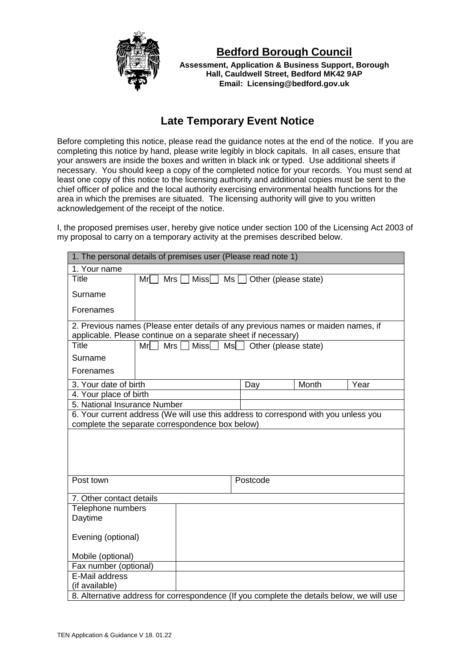

**Bedford Borough Council**

**Assessment, Application & Business Support, Borough Hall, Cauldwell Street, Bedford MK42 9AP Email: Licensing@bedford.gov.uk**

# **Late Temporary Event Notice**

Before completing this notice, please read the guidance notes at the end of the notice. If you are completing this notice by hand, please write legibly in block capitals. In all cases, ensure that your answers are inside the boxes and written in black ink or typed. Use additional sheets if necessary. You should keep a copy of the completed notice for your records. You must send at least one copy of this notice to the licensing authority and additional copies must be sent to the chief officer of police and the local authority exercising environmental health functions for the area in which the premises are situated. The licensing authority will give to you written acknowledgement of the receipt of the notice.

I, the proposed premises user, hereby give notice under section 100 of the Licensing Act 2003 of my proposal to carry on a temporary activity at the premises described below.

| 1. The personal details of premises user (Please read note 1) |                          |             |          |                                                                                           |      |
|---------------------------------------------------------------|--------------------------|-------------|----------|-------------------------------------------------------------------------------------------|------|
| 1. Your name                                                  |                          |             |          |                                                                                           |      |
| <b>Title</b>                                                  | Mr<br>Mrs $\Box$         |             |          |                                                                                           |      |
| Surname                                                       |                          |             |          |                                                                                           |      |
| Forenames                                                     |                          |             |          |                                                                                           |      |
| applicable. Please continue on a separate sheet if necessary) |                          |             |          | 2. Previous names (Please enter details of any previous names or maiden names, if         |      |
| <b>Title</b>                                                  | $Mr\lceil$<br>Mrs $\Box$ | Miss $\Box$ |          | Ms <sup>ol</sup> Other (please state)                                                     |      |
| Surname                                                       |                          |             |          |                                                                                           |      |
| Forenames                                                     |                          |             |          |                                                                                           |      |
| 3. Your date of birth                                         |                          |             | Day      | Month                                                                                     | Year |
| 4. Your place of birth                                        |                          |             |          |                                                                                           |      |
| 5. National Insurance Number                                  |                          |             |          |                                                                                           |      |
|                                                               |                          |             |          | 6. Your current address (We will use this address to correspond with you unless you       |      |
| complete the separate correspondence box below)               |                          |             |          |                                                                                           |      |
|                                                               |                          |             |          |                                                                                           |      |
| Post town                                                     |                          |             | Postcode |                                                                                           |      |
| 7. Other contact details                                      |                          |             |          |                                                                                           |      |
| Telephone numbers                                             |                          |             |          |                                                                                           |      |
| Daytime                                                       |                          |             |          |                                                                                           |      |
| Evening (optional)                                            |                          |             |          |                                                                                           |      |
| Mobile (optional)                                             |                          |             |          |                                                                                           |      |
| Fax number (optional)                                         |                          |             |          |                                                                                           |      |
| E-Mail address                                                |                          |             |          |                                                                                           |      |
| (if available)                                                |                          |             |          |                                                                                           |      |
|                                                               |                          |             |          | 8. Alternative address for correspondence (If you complete the details below, we will use |      |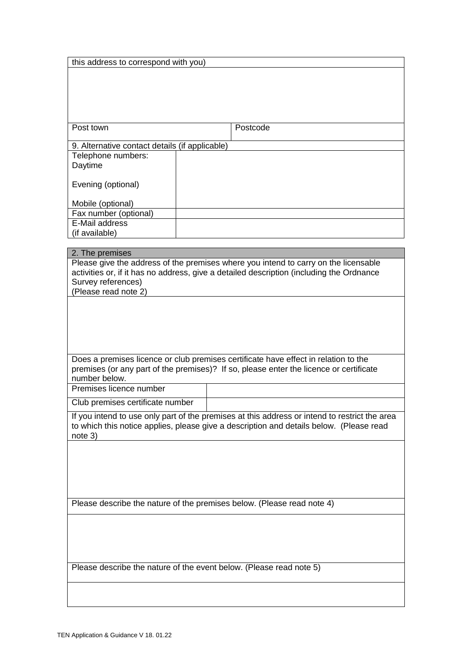| this address to correspond with you)                                   |                                                                                               |
|------------------------------------------------------------------------|-----------------------------------------------------------------------------------------------|
|                                                                        |                                                                                               |
|                                                                        |                                                                                               |
|                                                                        |                                                                                               |
|                                                                        |                                                                                               |
|                                                                        |                                                                                               |
| Post town                                                              | Postcode                                                                                      |
| 9. Alternative contact details (if applicable)                         |                                                                                               |
| Telephone numbers:                                                     |                                                                                               |
| Daytime                                                                |                                                                                               |
| Evening (optional)                                                     |                                                                                               |
|                                                                        |                                                                                               |
| Mobile (optional)                                                      |                                                                                               |
| Fax number (optional)<br>E-Mail address                                |                                                                                               |
| (if available)                                                         |                                                                                               |
|                                                                        |                                                                                               |
| 2. The premises                                                        |                                                                                               |
|                                                                        | Please give the address of the premises where you intend to carry on the licensable           |
|                                                                        | activities or, if it has no address, give a detailed description (including the Ordnance      |
| Survey references)<br>(Please read note 2)                             |                                                                                               |
|                                                                        |                                                                                               |
|                                                                        |                                                                                               |
|                                                                        |                                                                                               |
|                                                                        |                                                                                               |
|                                                                        |                                                                                               |
|                                                                        | Does a premises licence or club premises certificate have effect in relation to the           |
|                                                                        | premises (or any part of the premises)? If so, please enter the licence or certificate        |
| number below.<br>Premises licence number                               |                                                                                               |
|                                                                        |                                                                                               |
| Club premises certificate number                                       |                                                                                               |
|                                                                        | If you intend to use only part of the premises at this address or intend to restrict the area |
|                                                                        | to which this notice applies, please give a description and details below. (Please read       |
| note 3)                                                                |                                                                                               |
|                                                                        |                                                                                               |
|                                                                        |                                                                                               |
|                                                                        |                                                                                               |
|                                                                        |                                                                                               |
| Please describe the nature of the premises below. (Please read note 4) |                                                                                               |
|                                                                        |                                                                                               |
|                                                                        |                                                                                               |
|                                                                        |                                                                                               |
|                                                                        |                                                                                               |
|                                                                        |                                                                                               |
| Please describe the nature of the event below. (Please read note 5)    |                                                                                               |
|                                                                        |                                                                                               |
|                                                                        |                                                                                               |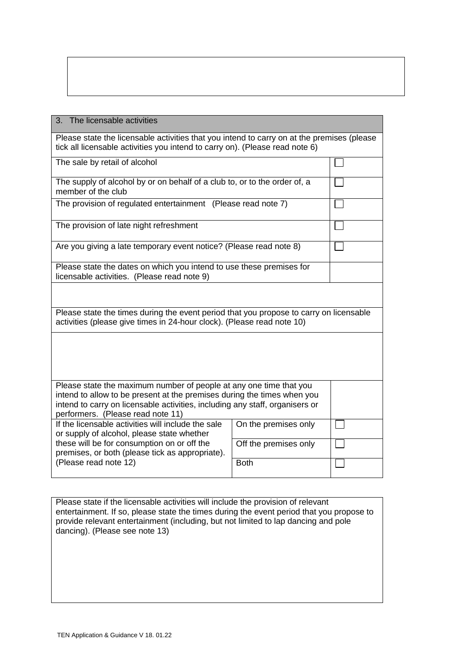| 3. The licensable activities                                                                                                                                                                                                                                       |                       |  |
|--------------------------------------------------------------------------------------------------------------------------------------------------------------------------------------------------------------------------------------------------------------------|-----------------------|--|
| Please state the licensable activities that you intend to carry on at the premises (please<br>tick all licensable activities you intend to carry on). (Please read note 6)                                                                                         |                       |  |
| The sale by retail of alcohol                                                                                                                                                                                                                                      |                       |  |
| The supply of alcohol by or on behalf of a club to, or to the order of, a<br>member of the club                                                                                                                                                                    |                       |  |
| The provision of regulated entertainment (Please read note 7)                                                                                                                                                                                                      |                       |  |
| The provision of late night refreshment                                                                                                                                                                                                                            |                       |  |
| Are you giving a late temporary event notice? (Please read note 8)                                                                                                                                                                                                 |                       |  |
| Please state the dates on which you intend to use these premises for<br>licensable activities. (Please read note 9)                                                                                                                                                |                       |  |
|                                                                                                                                                                                                                                                                    |                       |  |
| Please state the times during the event period that you propose to carry on licensable<br>activities (please give times in 24-hour clock). (Please read note 10)                                                                                                   |                       |  |
|                                                                                                                                                                                                                                                                    |                       |  |
|                                                                                                                                                                                                                                                                    |                       |  |
| Please state the maximum number of people at any one time that you<br>intend to allow to be present at the premises during the times when you<br>intend to carry on licensable activities, including any staff, organisers or<br>performers. (Please read note 11) |                       |  |
| If the licensable activities will include the sale<br>or supply of alcohol, please state whether                                                                                                                                                                   | On the premises only  |  |
| these will be for consumption on or off the<br>premises, or both (please tick as appropriate).                                                                                                                                                                     | Off the premises only |  |
| (Please read note 12)                                                                                                                                                                                                                                              | <b>Both</b>           |  |

Please state if the licensable activities will include the provision of relevant entertainment. If so, please state the times during the event period that you propose to provide relevant entertainment (including, but not limited to lap dancing and pole dancing). (Please see note 13)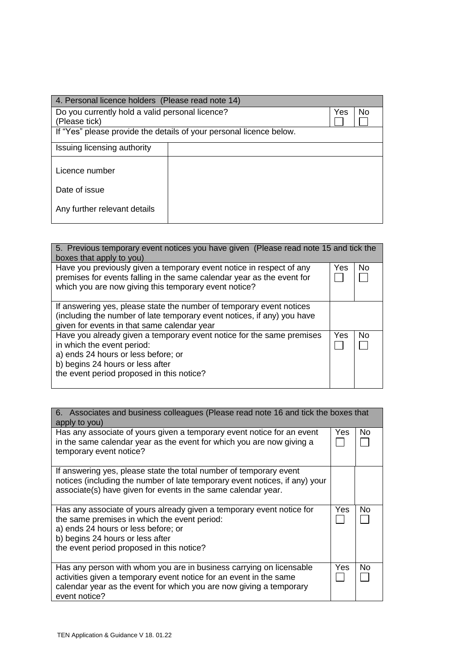| 4. Personal licence holders (Please read note 14)                |                                                                     |           |
|------------------------------------------------------------------|---------------------------------------------------------------------|-----------|
| Do you currently hold a valid personal licence?<br>(Please tick) |                                                                     | Yes<br>No |
|                                                                  | If "Yes" please provide the details of your personal licence below. |           |
| Issuing licensing authority                                      |                                                                     |           |
| Licence number                                                   |                                                                     |           |
| Date of issue                                                    |                                                                     |           |
| Any further relevant details                                     |                                                                     |           |

| 5. Previous temporary event notices you have given (Please read note 15 and tick the<br>boxes that apply to you)                                                                                                            |     |    |
|-----------------------------------------------------------------------------------------------------------------------------------------------------------------------------------------------------------------------------|-----|----|
| Have you previously given a temporary event notice in respect of any<br>premises for events falling in the same calendar year as the event for<br>which you are now giving this temporary event notice?                     | Yes | No |
| If answering yes, please state the number of temporary event notices<br>(including the number of late temporary event notices, if any) you have<br>given for events in that same calendar year                              |     |    |
| Have you already given a temporary event notice for the same premises<br>in which the event period:<br>a) ends 24 hours or less before; or<br>b) begins 24 hours or less after<br>the event period proposed in this notice? | Yes | No |

| 6. Associates and business colleagues (Please read note 16 and tick the boxes that<br>apply to you)                                                                                                                                           |     |     |  |
|-----------------------------------------------------------------------------------------------------------------------------------------------------------------------------------------------------------------------------------------------|-----|-----|--|
| Has any associate of yours given a temporary event notice for an event<br>in the same calendar year as the event for which you are now giving a<br>temporary event notice?                                                                    | Yes | No  |  |
| If answering yes, please state the total number of temporary event<br>notices (including the number of late temporary event notices, if any) your<br>associate(s) have given for events in the same calendar year.                            |     |     |  |
| Has any associate of yours already given a temporary event notice for<br>the same premises in which the event period:<br>a) ends 24 hours or less before; or<br>b) begins 24 hours or less after<br>the event period proposed in this notice? | Yes | No. |  |
| Has any person with whom you are in business carrying on licensable<br>activities given a temporary event notice for an event in the same<br>calendar year as the event for which you are now giving a temporary<br>event notice?             | Yes | No. |  |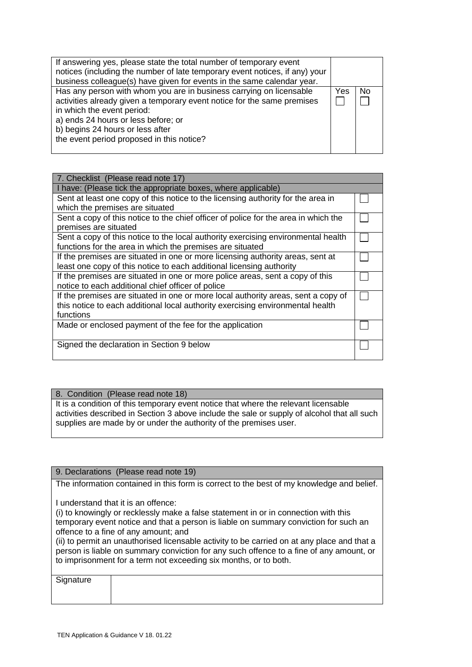| If answering yes, please state the total number of temporary event<br>notices (including the number of late temporary event notices, if any) your<br>business colleague(s) have given for events in the same calendar year.                                                                          |     |    |
|------------------------------------------------------------------------------------------------------------------------------------------------------------------------------------------------------------------------------------------------------------------------------------------------------|-----|----|
| Has any person with whom you are in business carrying on licensable<br>activities already given a temporary event notice for the same premises<br>in which the event period:<br>a) ends 24 hours or less before; or<br>b) begins 24 hours or less after<br>the event period proposed in this notice? | Yes | No |

| 7. Checklist (Please read note 17)                                                  |  |
|-------------------------------------------------------------------------------------|--|
| I have: (Please tick the appropriate boxes, where applicable)                       |  |
| Sent at least one copy of this notice to the licensing authority for the area in    |  |
| which the premises are situated                                                     |  |
| Sent a copy of this notice to the chief officer of police for the area in which the |  |
| premises are situated                                                               |  |
| Sent a copy of this notice to the local authority exercising environmental health   |  |
| functions for the area in which the premises are situated                           |  |
| If the premises are situated in one or more licensing authority areas, sent at      |  |
| least one copy of this notice to each additional licensing authority                |  |
| If the premises are situated in one or more police areas, sent a copy of this       |  |
| notice to each additional chief officer of police                                   |  |
| If the premises are situated in one or more local authority areas, sent a copy of   |  |
| this notice to each additional local authority exercising environmental health      |  |
| functions                                                                           |  |
| Made or enclosed payment of the fee for the application                             |  |
|                                                                                     |  |
| Signed the declaration in Section 9 below                                           |  |
|                                                                                     |  |

# 8. Condition (Please read note 18)

It is a condition of this temporary event notice that where the relevant licensable activities described in Section 3 above include the sale or supply of alcohol that all such supplies are made by or under the authority of the premises user.

# 9. Declarations (Please read note 19)

The information contained in this form is correct to the best of my knowledge and belief.

I understand that it is an offence:

(i) to knowingly or recklessly make a false statement in or in connection with this temporary event notice and that a person is liable on summary conviction for such an offence to a fine of any amount; and

(ii) to permit an unauthorised licensable activity to be carried on at any place and that a person is liable on summary conviction for any such offence to a fine of any amount, or to imprisonment for a term not exceeding six months, or to both.

**Signature**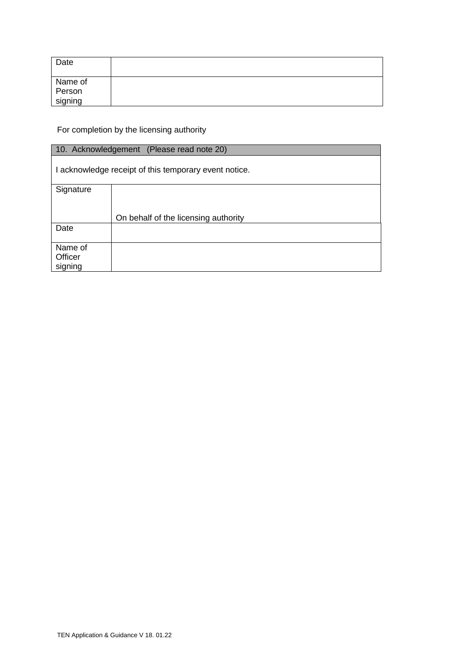| Date                         |  |  |
|------------------------------|--|--|
| Name of<br>Person<br>signing |  |  |

For completion by the licensing authority

| 10. Acknowledgement (Please read note 20) |                                                       |  |
|-------------------------------------------|-------------------------------------------------------|--|
|                                           | I acknowledge receipt of this temporary event notice. |  |
| Signature                                 |                                                       |  |
|                                           |                                                       |  |
|                                           | On behalf of the licensing authority                  |  |
| Date                                      |                                                       |  |
| Name of<br>Officer                        |                                                       |  |
| signing                                   |                                                       |  |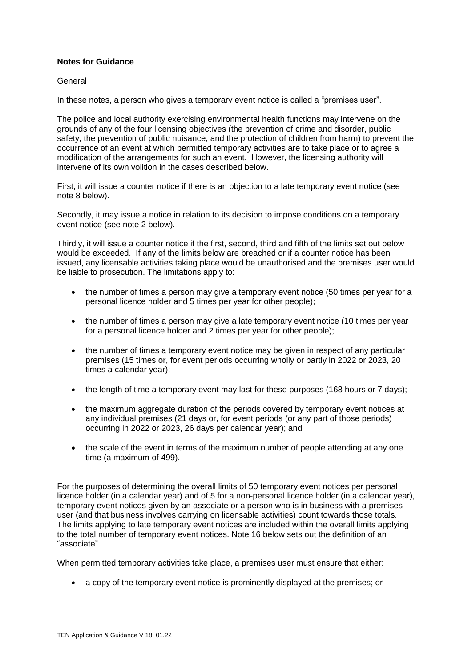# **Notes for Guidance**

# General

In these notes, a person who gives a temporary event notice is called a "premises user".

The police and local authority exercising environmental health functions may intervene on the grounds of any of the four licensing objectives (the prevention of crime and disorder, public safety, the prevention of public nuisance, and the protection of children from harm) to prevent the occurrence of an event at which permitted temporary activities are to take place or to agree a modification of the arrangements for such an event. However, the licensing authority will intervene of its own volition in the cases described below.

First, it will issue a counter notice if there is an objection to a late temporary event notice (see note 8 below).

Secondly, it may issue a notice in relation to its decision to impose conditions on a temporary event notice (see note 2 below).

Thirdly, it will issue a counter notice if the first, second, third and fifth of the limits set out below would be exceeded. If any of the limits below are breached or if a counter notice has been issued, any licensable activities taking place would be unauthorised and the premises user would be liable to prosecution. The limitations apply to:

- the number of times a person may give a temporary event notice (50 times per year for a personal licence holder and 5 times per year for other people);
- the number of times a person may give a late temporary event notice (10 times per year for a personal licence holder and 2 times per year for other people);
- the number of times a temporary event notice may be given in respect of any particular premises (15 times or, for event periods occurring wholly or partly in 2022 or 2023, 20 times a calendar year);
- the length of time a temporary event may last for these purposes (168 hours or 7 days):
- the maximum aggregate duration of the periods covered by temporary event notices at any individual premises (21 days or, for event periods (or any part of those periods) occurring in 2022 or 2023, 26 days per calendar year); and
- the scale of the event in terms of the maximum number of people attending at any one time (a maximum of 499).

For the purposes of determining the overall limits of 50 temporary event notices per personal licence holder (in a calendar year) and of 5 for a non-personal licence holder (in a calendar year), temporary event notices given by an associate or a person who is in business with a premises user (and that business involves carrying on licensable activities) count towards those totals. The limits applying to late temporary event notices are included within the overall limits applying to the total number of temporary event notices. Note 16 below sets out the definition of an "associate".

When permitted temporary activities take place, a premises user must ensure that either:

a copy of the temporary event notice is prominently displayed at the premises; or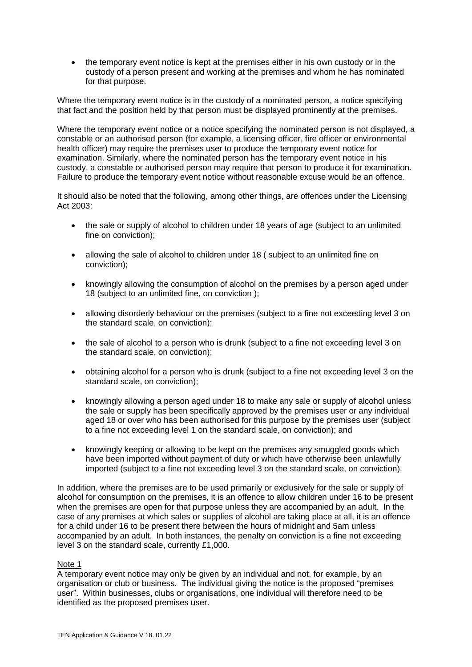• the temporary event notice is kept at the premises either in his own custody or in the custody of a person present and working at the premises and whom he has nominated for that purpose.

Where the temporary event notice is in the custody of a nominated person, a notice specifying that fact and the position held by that person must be displayed prominently at the premises.

Where the temporary event notice or a notice specifying the nominated person is not displayed, a constable or an authorised person (for example, a licensing officer, fire officer or environmental health officer) may require the premises user to produce the temporary event notice for examination. Similarly, where the nominated person has the temporary event notice in his custody, a constable or authorised person may require that person to produce it for examination. Failure to produce the temporary event notice without reasonable excuse would be an offence.

It should also be noted that the following, among other things, are offences under the Licensing Act 2003:

- the sale or supply of alcohol to children under 18 years of age (subject to an unlimited fine on conviction);
- allowing the sale of alcohol to children under 18 ( subject to an unlimited fine on conviction);
- knowingly allowing the consumption of alcohol on the premises by a person aged under 18 (subject to an unlimited fine, on conviction );
- allowing disorderly behaviour on the premises (subject to a fine not exceeding level 3 on the standard scale, on conviction);
- the sale of alcohol to a person who is drunk (subject to a fine not exceeding level 3 on the standard scale, on conviction);
- obtaining alcohol for a person who is drunk (subject to a fine not exceeding level 3 on the standard scale, on conviction);
- knowingly allowing a person aged under 18 to make any sale or supply of alcohol unless the sale or supply has been specifically approved by the premises user or any individual aged 18 or over who has been authorised for this purpose by the premises user (subject to a fine not exceeding level 1 on the standard scale, on conviction); and
- knowingly keeping or allowing to be kept on the premises any smuggled goods which have been imported without payment of duty or which have otherwise been unlawfully imported (subject to a fine not exceeding level 3 on the standard scale, on conviction).

In addition, where the premises are to be used primarily or exclusively for the sale or supply of alcohol for consumption on the premises, it is an offence to allow children under 16 to be present when the premises are open for that purpose unless they are accompanied by an adult. In the case of any premises at which sales or supplies of alcohol are taking place at all, it is an offence for a child under 16 to be present there between the hours of midnight and 5am unless accompanied by an adult. In both instances, the penalty on conviction is a fine not exceeding level 3 on the standard scale, currently £1,000.

# Note 1

A temporary event notice may only be given by an individual and not, for example, by an organisation or club or business. The individual giving the notice is the proposed "premises user". Within businesses, clubs or organisations, one individual will therefore need to be identified as the proposed premises user.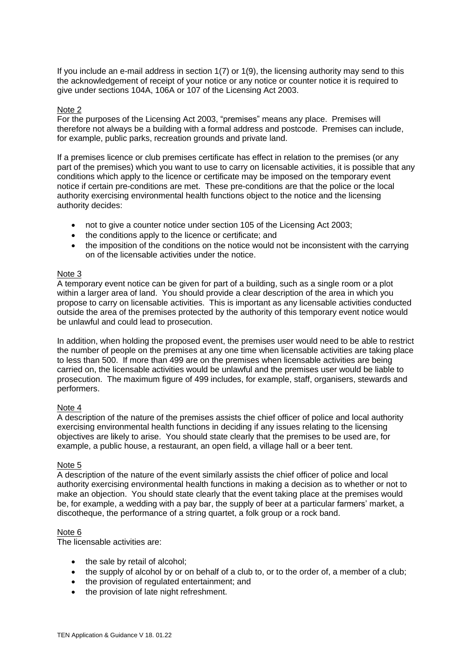If you include an e-mail address in section 1(7) or 1(9), the licensing authority may send to this the acknowledgement of receipt of your notice or any notice or counter notice it is required to give under sections 104A, 106A or 107 of the Licensing Act 2003.

## Note 2

For the purposes of the Licensing Act 2003, "premises" means any place. Premises will therefore not always be a building with a formal address and postcode. Premises can include, for example, public parks, recreation grounds and private land.

If a premises licence or club premises certificate has effect in relation to the premises (or any part of the premises) which you want to use to carry on licensable activities, it is possible that any conditions which apply to the licence or certificate may be imposed on the temporary event notice if certain pre-conditions are met. These pre-conditions are that the police or the local authority exercising environmental health functions object to the notice and the licensing authority decides:

- not to give a counter notice under section 105 of the Licensing Act 2003;
- the conditions apply to the licence or certificate; and
- the imposition of the conditions on the notice would not be inconsistent with the carrying on of the licensable activities under the notice.

# Note 3

A temporary event notice can be given for part of a building, such as a single room or a plot within a larger area of land. You should provide a clear description of the area in which you propose to carry on licensable activities. This is important as any licensable activities conducted outside the area of the premises protected by the authority of this temporary event notice would be unlawful and could lead to prosecution.

In addition, when holding the proposed event, the premises user would need to be able to restrict the number of people on the premises at any one time when licensable activities are taking place to less than 500. If more than 499 are on the premises when licensable activities are being carried on, the licensable activities would be unlawful and the premises user would be liable to prosecution. The maximum figure of 499 includes, for example, staff, organisers, stewards and performers.

# Note 4

A description of the nature of the premises assists the chief officer of police and local authority exercising environmental health functions in deciding if any issues relating to the licensing objectives are likely to arise. You should state clearly that the premises to be used are, for example, a public house, a restaurant, an open field, a village hall or a beer tent.

# Note 5

A description of the nature of the event similarly assists the chief officer of police and local authority exercising environmental health functions in making a decision as to whether or not to make an objection. You should state clearly that the event taking place at the premises would be, for example, a wedding with a pay bar, the supply of beer at a particular farmers' market, a discotheque, the performance of a string quartet, a folk group or a rock band.

#### Note 6

The licensable activities are:

- the sale by retail of alcohol;
- the supply of alcohol by or on behalf of a club to, or to the order of, a member of a club;
- the provision of regulated entertainment: and
- the provision of late night refreshment.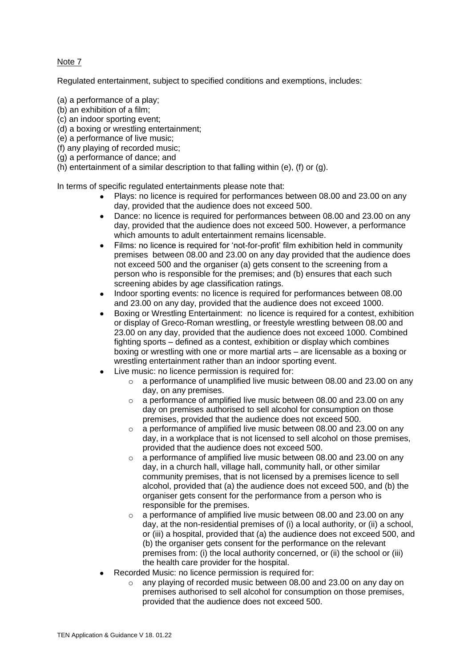# Note 7

Regulated entertainment, subject to specified conditions and exemptions, includes:

- (a) a performance of a play;
- (b) an exhibition of a film;
- (c) an indoor sporting event;
- (d) a boxing or wrestling entertainment;
- (e) a performance of live music;
- (f) any playing of recorded music;
- (g) a performance of dance; and
- (h) entertainment of a similar description to that falling within (e), (f) or (g).

In terms of specific regulated entertainments please note that:

- Plays: no licence is required for performances between 08.00 and 23.00 on any day, provided that the audience does not exceed 500.
- Dance: no licence is required for performances between 08.00 and 23.00 on any day, provided that the audience does not exceed 500. However, a performance which amounts to adult entertainment remains licensable.
- Films: no licence is required for 'not-for-profit' film exhibition held in community premises between 08.00 and 23.00 on any day provided that the audience does not exceed 500 and the organiser (a) gets consent to the screening from a person who is responsible for the premises; and (b) ensures that each such screening abides by age classification ratings.
- Indoor sporting events: no licence is required for performances between 08.00 and 23.00 on any day, provided that the audience does not exceed 1000.
- Boxing or Wrestling Entertainment: no licence is required for a contest, exhibition or display of Greco-Roman wrestling, or freestyle wrestling between 08.00 and 23.00 on any day, provided that the audience does not exceed 1000. Combined fighting sports – defined as a contest, exhibition or display which combines boxing or wrestling with one or more martial arts – are licensable as a boxing or wrestling entertainment rather than an indoor sporting event.
- Live music: no licence permission is required for:
	- o a performance of unamplified live music between 08.00 and 23.00 on any day, on any premises.
	- o a performance of amplified live music between 08.00 and 23.00 on any day on premises authorised to sell alcohol for consumption on those premises, provided that the audience does not exceed 500.
	- o a performance of amplified live music between 08.00 and 23.00 on any day, in a workplace that is not licensed to sell alcohol on those premises, provided that the audience does not exceed 500.
	- $\circ$  a performance of amplified live music between 08.00 and 23.00 on any day, in a church hall, village hall, community hall, or other similar community premises, that is not licensed by a premises licence to sell alcohol, provided that (a) the audience does not exceed 500, and (b) the organiser gets consent for the performance from a person who is responsible for the premises.
	- o a performance of amplified live music between 08.00 and 23.00 on any day, at the non-residential premises of (i) a local authority, or (ii) a school, or (iii) a hospital, provided that (a) the audience does not exceed 500, and (b) the organiser gets consent for the performance on the relevant premises from: (i) the local authority concerned, or (ii) the school or (iii) the health care provider for the hospital.
- Recorded Music: no licence permission is required for:
	- $\circ$  any playing of recorded music between 08.00 and 23.00 on any day on premises authorised to sell alcohol for consumption on those premises, provided that the audience does not exceed 500.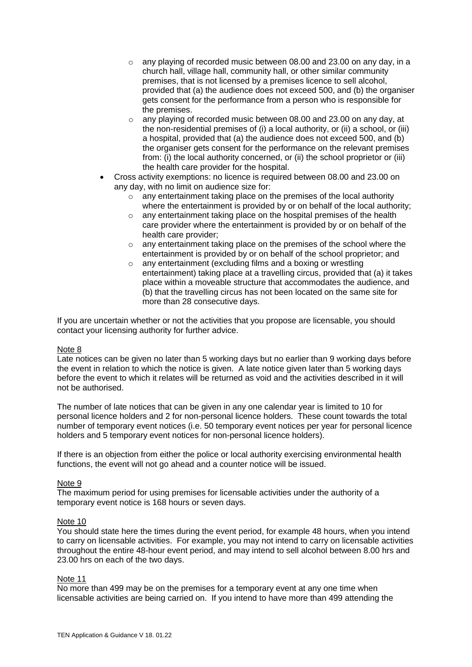- $\circ$  any playing of recorded music between 08.00 and 23.00 on any day, in a church hall, village hall, community hall, or other similar community premises, that is not licensed by a premises licence to sell alcohol, provided that (a) the audience does not exceed 500, and (b) the organiser gets consent for the performance from a person who is responsible for the premises.
- $\circ$  any playing of recorded music between 08.00 and 23.00 on any day, at the non-residential premises of (i) a local authority, or (ii) a school, or (iii) a hospital, provided that (a) the audience does not exceed 500, and (b) the organiser gets consent for the performance on the relevant premises from: (i) the local authority concerned, or (ii) the school proprietor or (iii) the health care provider for the hospital.
- Cross activity exemptions: no licence is required between 08.00 and 23.00 on any day, with no limit on audience size for:
	- $\circ$  any entertainment taking place on the premises of the local authority where the entertainment is provided by or on behalf of the local authority;
	- o any entertainment taking place on the hospital premises of the health care provider where the entertainment is provided by or on behalf of the health care provider;
	- o any entertainment taking place on the premises of the school where the entertainment is provided by or on behalf of the school proprietor; and
	- o any entertainment (excluding films and a boxing or wrestling entertainment) taking place at a travelling circus, provided that (a) it takes place within a moveable structure that accommodates the audience, and (b) that the travelling circus has not been located on the same site for more than 28 consecutive days.

If you are uncertain whether or not the activities that you propose are licensable, you should contact your licensing authority for further advice.

#### Note 8

Late notices can be given no later than 5 working days but no earlier than 9 working days before the event in relation to which the notice is given. A late notice given later than 5 working days before the event to which it relates will be returned as void and the activities described in it will not be authorised.

The number of late notices that can be given in any one calendar year is limited to 10 for personal licence holders and 2 for non-personal licence holders. These count towards the total number of temporary event notices (i.e. 50 temporary event notices per year for personal licence holders and 5 temporary event notices for non-personal licence holders).

If there is an objection from either the police or local authority exercising environmental health functions, the event will not go ahead and a counter notice will be issued.

#### Note 9

The maximum period for using premises for licensable activities under the authority of a temporary event notice is 168 hours or seven days.

#### Note 10

You should state here the times during the event period, for example 48 hours, when you intend to carry on licensable activities. For example, you may not intend to carry on licensable activities throughout the entire 48-hour event period, and may intend to sell alcohol between 8.00 hrs and 23.00 hrs on each of the two days.

#### Note 11

No more than 499 may be on the premises for a temporary event at any one time when licensable activities are being carried on. If you intend to have more than 499 attending the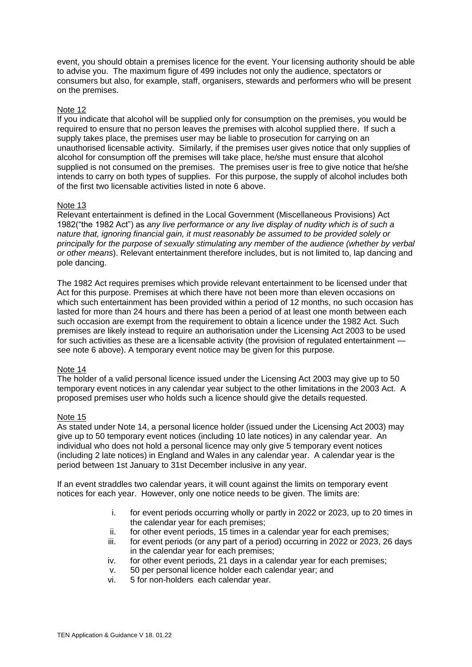event, you should obtain a premises licence for the event. Your licensing authority should be able to advise you. The maximum figure of 499 includes not only the audience, spectators or consumers but also, for example, staff, organisers, stewards and performers who will be present on the premises.

## Note 12

If you indicate that alcohol will be supplied only for consumption on the premises, you would be required to ensure that no person leaves the premises with alcohol supplied there. If such a supply takes place, the premises user may be liable to prosecution for carrying on an unauthorised licensable activity. Similarly, if the premises user gives notice that only supplies of alcohol for consumption off the premises will take place, he/she must ensure that alcohol supplied is not consumed on the premises. The premises user is free to give notice that he/she intends to carry on both types of supplies. For this purpose, the supply of alcohol includes both of the first two licensable activities listed in note 6 above.

## Note 13

Relevant entertainment is defined in the Local Government (Miscellaneous Provisions) Act 1982("the 1982 Act") as *any live performance or any live display of nudity which is of such a nature that, ignoring financial gain, it must reasonably be assumed to be provided solely or principally for the purpose of sexually stimulating any member of the audience (whether by verbal or other means*). Relevant entertainment therefore includes, but is not limited to, lap dancing and pole dancing.

The 1982 Act requires premises which provide relevant entertainment to be licensed under that Act for this purpose. Premises at which there have not been more than eleven occasions on which such entertainment has been provided within a period of 12 months, no such occasion has lasted for more than 24 hours and there has been a period of at least one month between each such occasion are exempt from the requirement to obtain a licence under the 1982 Act. Such premises are likely instead to require an authorisation under the Licensing Act 2003 to be used for such activities as these are a licensable activity (the provision of regulated entertainment see note 6 above). A temporary event notice may be given for this purpose.

#### Note 14

The holder of a valid personal licence issued under the Licensing Act 2003 may give up to 50 temporary event notices in any calendar year subject to the other limitations in the 2003 Act. A proposed premises user who holds such a licence should give the details requested.

#### Note 15

As stated under Note 14, a personal licence holder (issued under the Licensing Act 2003) may give up to 50 temporary event notices (including 10 late notices) in any calendar year. An individual who does not hold a personal licence may only give 5 temporary event notices (including 2 late notices) in England and Wales in any calendar year. A calendar year is the period between 1st January to 31st December inclusive in any year.

If an event straddles two calendar years, it will count against the limits on temporary event notices for each year. However, only one notice needs to be given. The limits are:

- i. for event periods occurring wholly or partly in 2022 or 2023, up to 20 times in the calendar year for each premises;
- ii. for other event periods, 15 times in a calendar year for each premises;
- iii. for event periods (or any part of a period) occurring in 2022 or 2023, 26 days in the calendar year for each premises;
- iv. for other event periods, 21 days in a calendar year for each premises;
- v. 50 per personal licence holder each calendar year; and
- vi. 5 for non-holders each calendar year.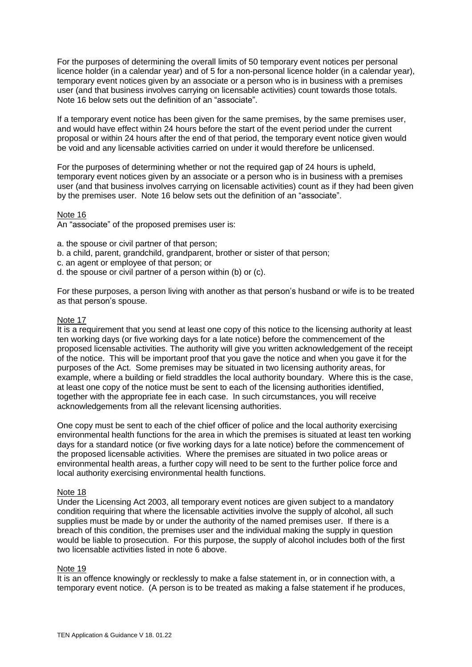For the purposes of determining the overall limits of 50 temporary event notices per personal licence holder (in a calendar year) and of 5 for a non-personal licence holder (in a calendar year), temporary event notices given by an associate or a person who is in business with a premises user (and that business involves carrying on licensable activities) count towards those totals. Note 16 below sets out the definition of an "associate".

If a temporary event notice has been given for the same premises, by the same premises user, and would have effect within 24 hours before the start of the event period under the current proposal or within 24 hours after the end of that period, the temporary event notice given would be void and any licensable activities carried on under it would therefore be unlicensed.

For the purposes of determining whether or not the required gap of 24 hours is upheld, temporary event notices given by an associate or a person who is in business with a premises user (and that business involves carrying on licensable activities) count as if they had been given by the premises user. Note 16 below sets out the definition of an "associate".

## Note 16

An "associate" of the proposed premises user is:

- a. the spouse or civil partner of that person;
- b. a child, parent, grandchild, grandparent, brother or sister of that person;
- c. an agent or employee of that person; or
- d. the spouse or civil partner of a person within (b) or (c).

For these purposes, a person living with another as that person's husband or wife is to be treated as that person's spouse.

## Note 17

It is a requirement that you send at least one copy of this notice to the licensing authority at least ten working days (or five working days for a late notice) before the commencement of the proposed licensable activities. The authority will give you written acknowledgement of the receipt of the notice. This will be important proof that you gave the notice and when you gave it for the purposes of the Act. Some premises may be situated in two licensing authority areas, for example, where a building or field straddles the local authority boundary. Where this is the case, at least one copy of the notice must be sent to each of the licensing authorities identified, together with the appropriate fee in each case. In such circumstances, you will receive acknowledgements from all the relevant licensing authorities.

One copy must be sent to each of the chief officer of police and the local authority exercising environmental health functions for the area in which the premises is situated at least ten working days for a standard notice (or five working days for a late notice) before the commencement of the proposed licensable activities. Where the premises are situated in two police areas or environmental health areas, a further copy will need to be sent to the further police force and local authority exercising environmental health functions.

## Note 18

Under the Licensing Act 2003, all temporary event notices are given subject to a mandatory condition requiring that where the licensable activities involve the supply of alcohol, all such supplies must be made by or under the authority of the named premises user. If there is a breach of this condition, the premises user and the individual making the supply in question would be liable to prosecution. For this purpose, the supply of alcohol includes both of the first two licensable activities listed in note 6 above.

# Note 19

It is an offence knowingly or recklessly to make a false statement in, or in connection with, a temporary event notice. (A person is to be treated as making a false statement if he produces,